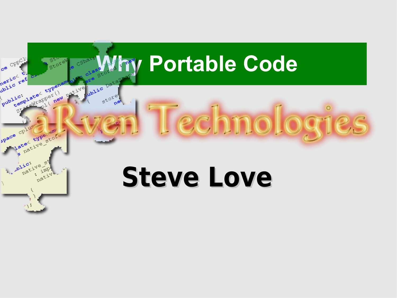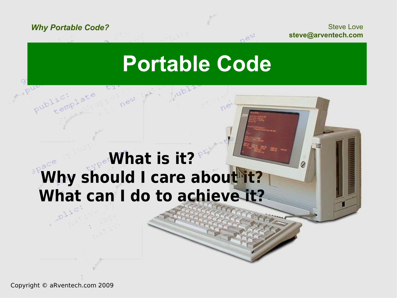Steve Love **steve@arventech.com**

### **Portable Code**

#### **What is it? Why should I care about it? What can I do to achieve it?**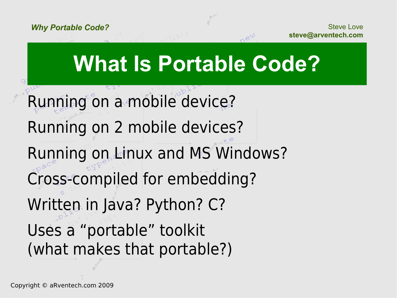## **What Is Portable Code?**

Running on a mobile device? Running on 2 mobile devices? Running on Linux and MS Windows? Cross-compiled for embedding? Written in Java? Python? C? Uses a "portable" toolkit (what makes that portable?)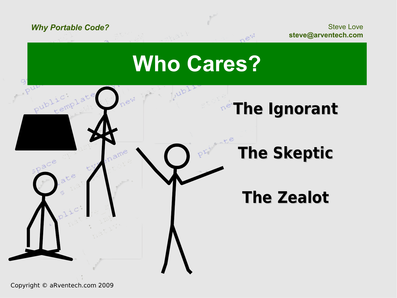Steve Love **steve@arventech.com**

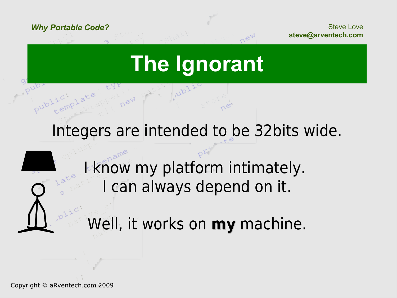Steve Love **steve@arventech.com**

## **The Ignorant**

Integers are intended to be 32bits wide.

I know my platform intimately. I can always depend on it.

Well, it works on **my** machine.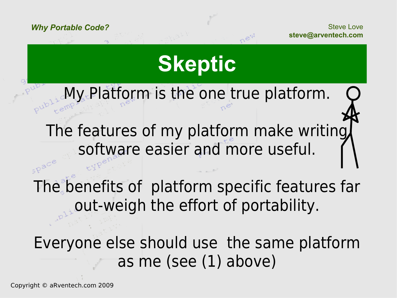Steve Love **steve@arventech.com**

## **Skeptic**

My Platform is the one true platform. The features of my platform make writing software easier and more useful.

The benefits of platform specific features far out-weigh the effort of portability.

Everyone else should use the same platform as me (see (1) above)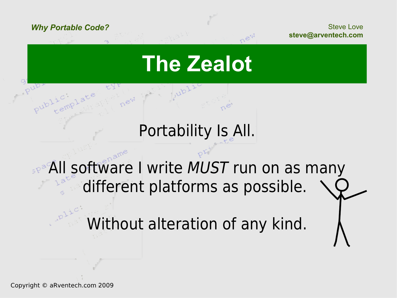Steve Love **steve@arventech.com**

### **The Zealot**

#### Portability Is All.

#### space All software I write MUST run on as many different platforms as possible.

Without alteration of any kind.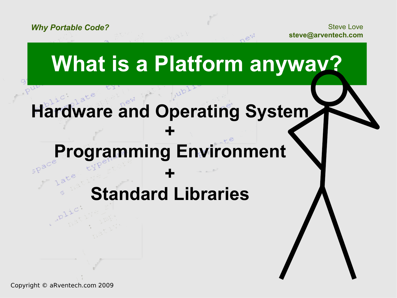Steve Love **steve@arventech.com**

*Why Portable Code?*

## **What is a Platform anyway?**

#### **Hardware and Operating System**

**+**

#### **Programming Environment**

#### **Standard Libraries**

**+**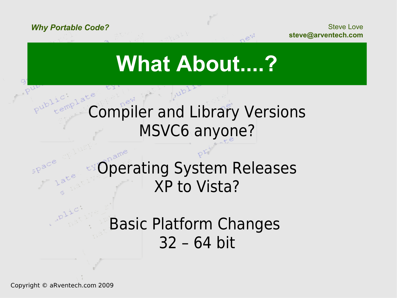Steve Love **steve@arventech.com**

## **What About....?**

#### Compiler and Library Versions MSVC6 anyone?

#### Operating System Releases XP to Vista?

#### Basic Platform Changes 32 – 64 bit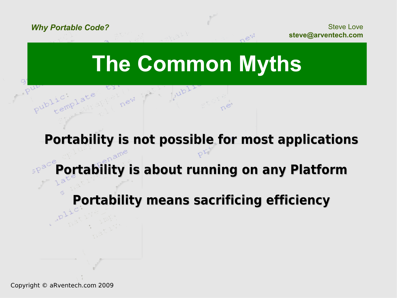Steve Love **steve@arventech.com**

### **The Common Myths**

#### **Portability is not possible for most applications**

#### **Portability is about running on any Platform**

#### **Portability means sacrificing efficiency**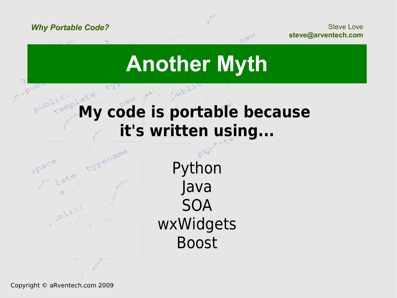Steve Love **steve@arventech.com**

## **Another Myth**

#### **My code is portable because it's written using...**



Python Java SOA wxWidgets Boost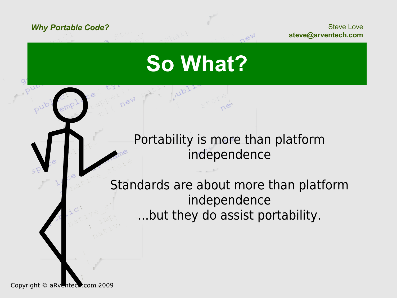Steve Love **steve@arventech.com**

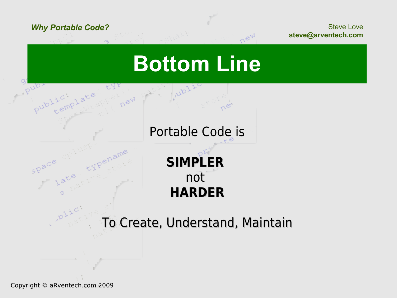Steve Love **steve@arventech.com**

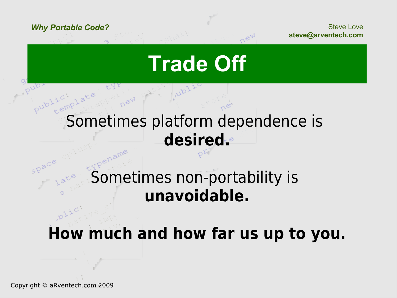Steve Love **steve@arventech.com**

### **Trade Off**

#### Sometimes platform dependence is **desired.**

#### Sometimes non-portability is **unavoidable.**

#### **How much and how far us up to you.**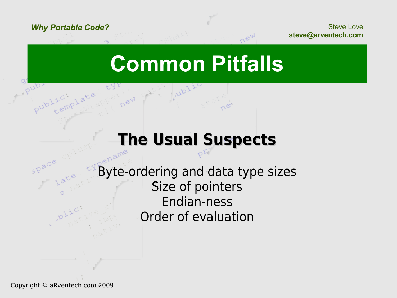Steve Love **steve@arventech.com**

### **Common Pitfalls**

#### **The Usual Suspects**

Byte-ordering and data type sizes Size of pointers Endian-ness Order of evaluation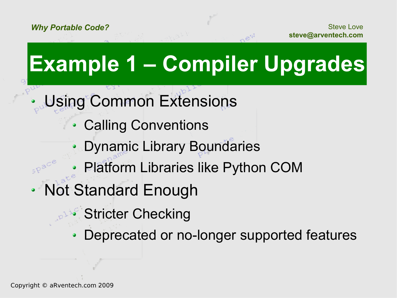## **Example 1 – Compiler Upgrades**

- Using Common Extensions
	- Calling Conventions
	- Dynamic Library Boundaries
	- Platform Libraries like Python COM
- Not Standard Enough
	- **Stricter Checking**
	- Deprecated or no-longer supported features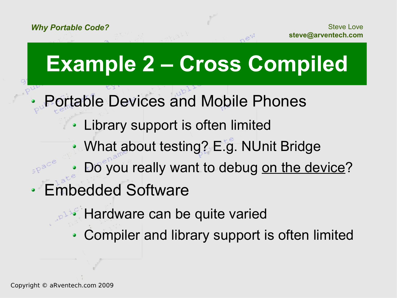## **Example 2 – Cross Compiled**

- Portable Devices and Mobile Phones
	- Library support is often limited  $\bullet$
	- What about testing? E.g. NUnit Bridge
	- Do you really want to debug on the device?
- Embedded Software
	- Hardware can be quite varied
	- Compiler and library support is often limited $\bullet$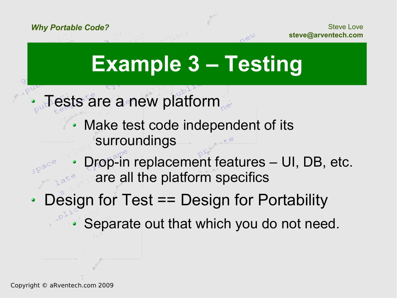Steve Love **steve@arventech.com**

## **Example 3 – Testing**

- Tests are a new platform
	- Make test code independent of its  $\bullet$ surroundings
	- Drop-in replacement features UI, DB, etc. are all the platform specifics
- Design for Test == Design for Portability

Separate out that which you do not need.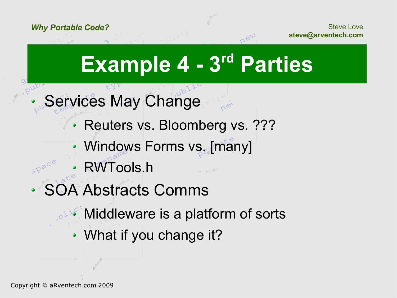Steve Love **steve@arventech.com**

## **Example 4 - 3rd Parties**

- Services May Change
	- Reuters vs. Bloomberg vs. ???
	- Windows Forms vs. [many]
	- RWTools.h
- **OA Abstracts Comms** 
	- Middleware is a platform of sorts
	- What if you change it?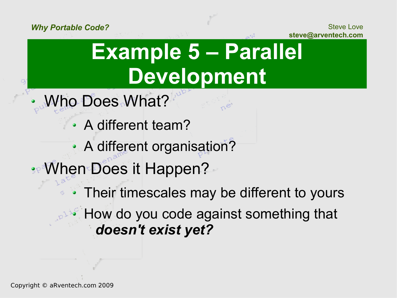Q

Steve Love **steve@arventech.com**

## **Example 5 – Parallel Development**

- Who Does What?
	- A different team?
	- A different organisation?

**:** When Does it Happen?

Their timescales may be different to yours How do you code against something that *doesn't exist yet?*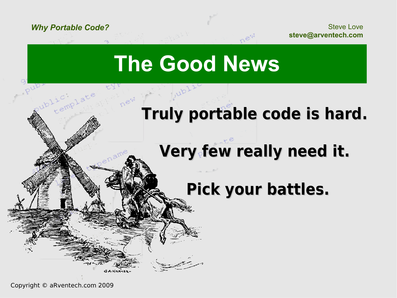Steve Love **steve@arventech.com**

### **The Good News**

#### **Truly portable code is hard.**

#### **Very few really need it.**

#### **Pick your battles.**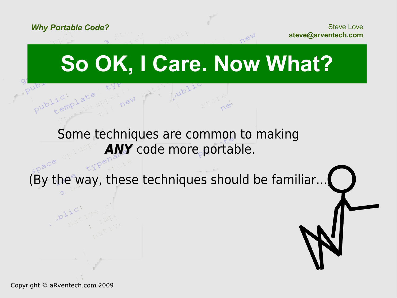Steve Love **steve@arventech.com**

## **So OK, I Care. Now What?**

#### Some techniques are common to making **ANY** code more portable.

(By the way, these techniques should be familiar...)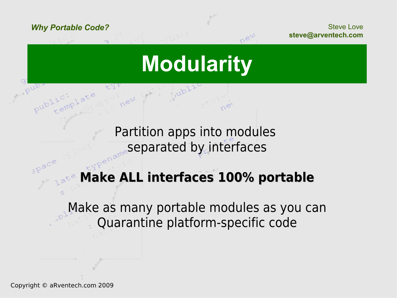Steve Love **steve@arventech.com**

## **Modularity**

Partition apps into modules separated by interfaces

#### **Make ALL interfaces 100% portable**

Make as many portable modules as you can Quarantine platform-specific code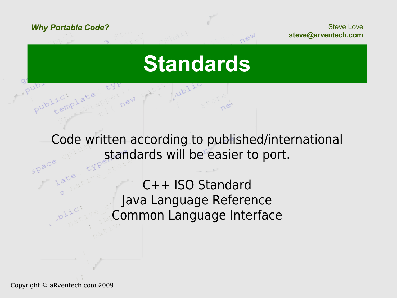Steve Love **steve@arventech.com**

#### **Standards**

Code written according to published/international standards will be easier to port.

> C++ ISO Standard Java Language Reference Common Language Interface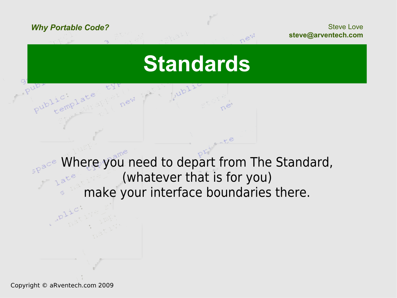Steve Love **steve@arventech.com**

#### **Standards**

Where you need to depart from The Standard, (whatever that is for you) make your interface boundaries there.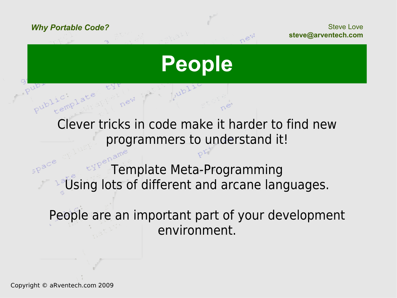Steve Love **steve@arventech.com**

#### **People**

Clever tricks in code make it harder to find new programmers to understand it!

Template Meta-Programming Using lots of different and arcane languages.

People are an important part of your development environment.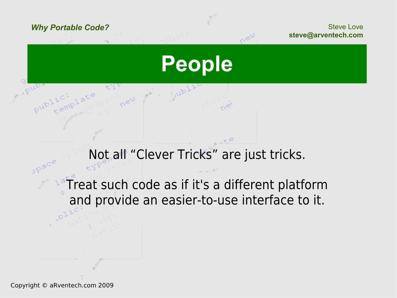Steve Love **steve@arventech.com**

**People**

new

Not all "Clever Tricks" are just tricks.

**Treat such code as if it's a different platform** and provide an easier-to-use interface to it.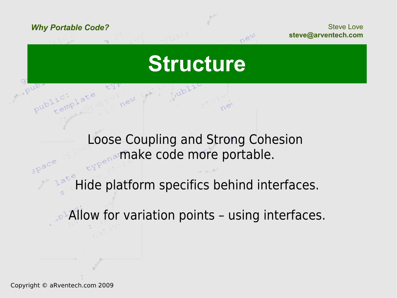Steve Love **steve@arventech.com**

#### **Structure**

Loose Coupling and Strong Cohesion make code more portable.

Hide platform specifics behind interfaces.

**Allow for variation points - using interfaces.**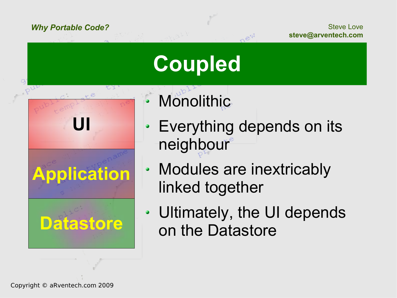Steve Love **steve@arventech.com**

## **Coupled**

**Datastore Application UI**

ピス

- Monolithic
- Everything depends on its  $\bullet$ neighbour
- Modules are inextricably  $\bullet$ linked together
- Ultimately, the UI depends ۰ on the Datastore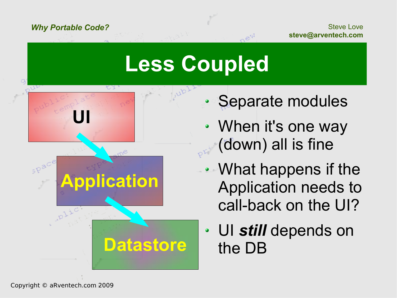Steve Love **steve@arventech.com**

## **Less Coupled**





**Datastore**

- Separate modules
- When it's one way  $\bullet$ (down) all is fine
- What happens if the Application needs to call-back on the UI?
- UI *still* depends on  $\bullet$ the DB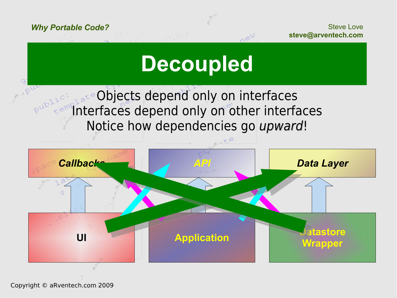Steve Love **steve@arventech.com**

## **Decoupled**

Objects depend only on interfaces **EMPINTERFACES depend only on other interfaces** Notice how dependencies go upward!

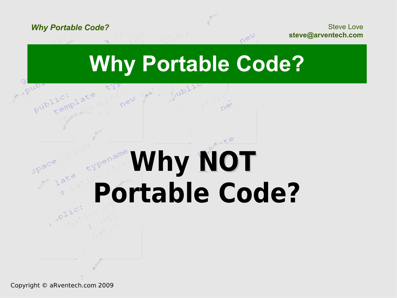Steve Love **steve@arventech.com**

### **Why Portable Code?**

# **Why NOT Portable Code?**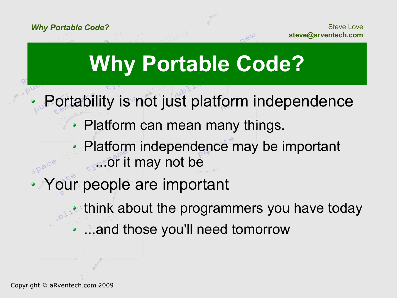## **Why Portable Code?**

Portability is not just platform independence

• Platform can mean many things.

Platform independence may be important ...or it may not be

Your people are important

think about the programmers you have today

...and those you'll need tomorrow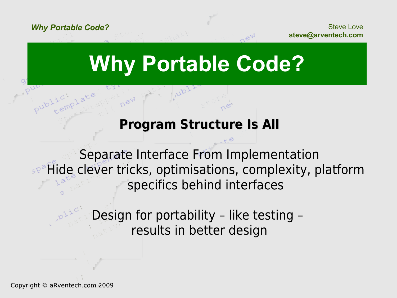Steve Love **steve@arventech.com**

### **Why Portable Code?**

#### **Program Structure Is All**

Separate Interface From Implementation **BR<sup>®</sup>Hide clever tricks, optimisations, complexity, platform** specifics behind interfaces

> Design for portability – like testing – results in better design